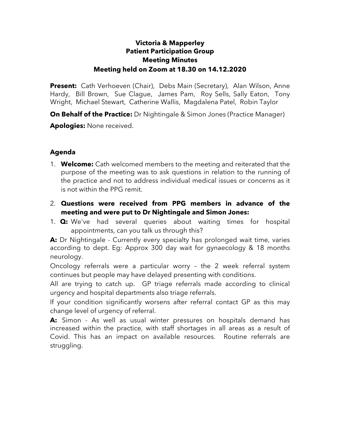## **Victoria & Mapperley Patient Participation Group Meeting Minutes Meeting held on Zoom at 18.30 on 14.12.2020**

**Present:** Cath Verhoeven (Chair), Debs Main (Secretary), Alan Wilson, Anne Hardy, Bill Brown, Sue Clague, James Pam, Roy Sells, Sally Eaton, Tony Wright, Michael Stewart, Catherine Wallis, Magdalena Patel, Robin Taylor

**On Behalf of the Practice:** Dr Nightingale & Simon Jones (Practice Manager)

**Apologies:** None received.

## **Agenda**

- 1. **Welcome:** Cath welcomed members to the meeting and reiterated that the purpose of the meeting was to ask questions in relation to the running of the practice and not to address individual medical issues or concerns as it is not within the PPG remit.
- 2. **Questions were received from PPG members in advance of the meeting and were put to Dr Nightingale and Simon Jones:**
- 1. **Q:** We've had several queries about waiting times for hospital appointments, can you talk us through this?

**A:** Dr Nightingale - Currently every specialty has prolonged wait time, varies according to dept. Eg: Approx 300 day wait for gynaecology & 18 months neurology.

Oncology referrals were a particular worry – the 2 week referral system continues but people may have delayed presenting with conditions.

All are trying to catch up. GP triage referrals made according to clinical urgency and hospital departments also triage referrals.

If your condition significantly worsens after referral contact GP as this may change level of urgency of referral.

**A:** Simon - As well as usual winter pressures on hospitals demand has increased within the practice, with staff shortages in all areas as a result of Covid. This has an impact on available resources. Routine referrals are struggling.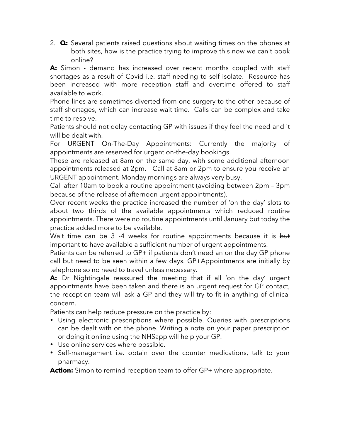2. **Q:** Several patients raised questions about waiting times on the phones at both sites, how is the practice trying to improve this now we can't book online?

**A:** Simon - demand has increased over recent months coupled with staff shortages as a result of Covid i.e. staff needing to self isolate. Resource has been increased with more reception staff and overtime offered to staff available to work.

Phone lines are sometimes diverted from one surgery to the other because of staff shortages, which can increase wait time. Calls can be complex and take time to resolve.

Patients should not delay contacting GP with issues if they feel the need and it will be dealt with.

For URGENT On-The-Day Appointments: Currently the majority of appointments are reserved for urgent on-the-day bookings.

These are released at 8am on the same day, with some additional afternoon appointments released at 2pm. Call at 8am or 2pm to ensure you receive an URGENT appointment. Monday mornings are always very busy.

Call after 10am to book a routine appointment (avoiding between 2pm – 3pm because of the release of afternoon urgent appointments).

Over recent weeks the practice increased the number of 'on the day' slots to about two thirds of the available appointments which reduced routine appointments. There were no routine appointments until January but today the practice added more to be available.

Wait time can be 3 -4 weeks for routine appointments because it is but important to have available a sufficient number of urgent appointments.

Patients can be referred to GP+ if patients don't need an on the day GP phone call but need to be seen within a few days. GP+Appointments are initially by telephone so no need to travel unless necessary.

**A:** Dr Nightingale reassured the meeting that if all 'on the day' urgent appointments have been taken and there is an urgent request for GP contact, the reception team will ask a GP and they will try to fit in anything of clinical concern.

Patients can help reduce pressure on the practice by:

- Using electronic prescriptions where possible. Queries with prescriptions can be dealt with on the phone. Writing a note on your paper prescription or doing it online using the NHSapp will help your GP.
- Use online services where possible.
- Self-management i.e. obtain over the counter medications, talk to your pharmacy.

**Action:** Simon to remind reception team to offer GP+ where appropriate.